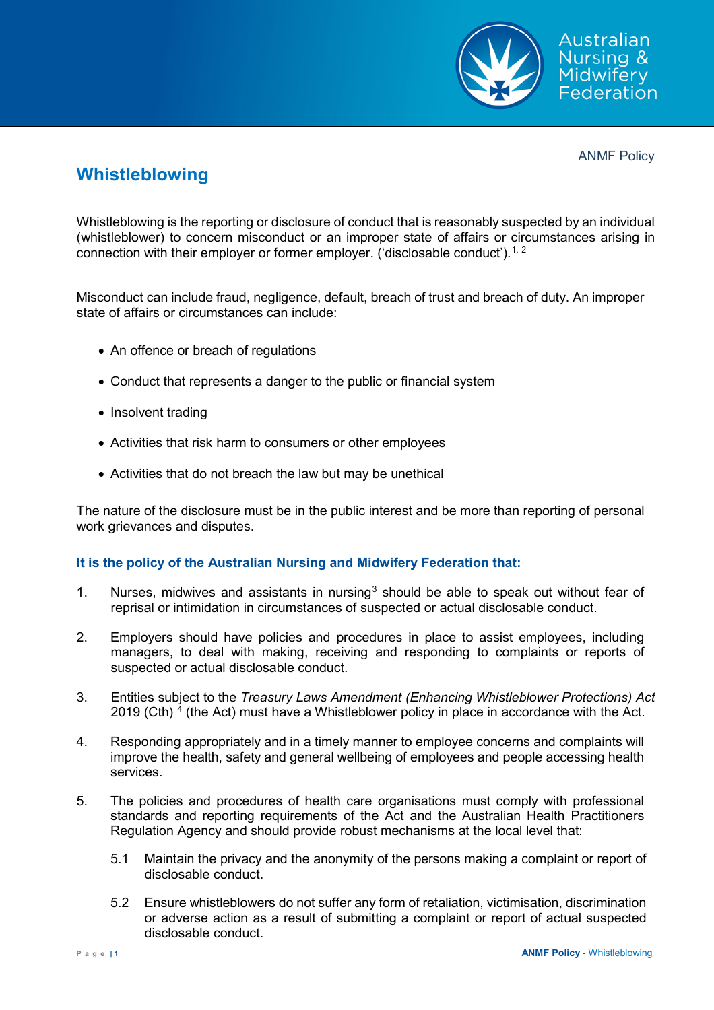

ANMF Policy

## **Whistleblowing**

Whistleblowing is the reporting or disclosure of conduct that is reasonably suspected by an individual (whistleblower) to concern misconduct or an improper state of affairs or circumstances arising in connection with their employer or former employer. ('disclosable conduct').<sup>[1](#page-2-0), [2](#page-2-1)</sup>

Misconduct can include fraud, negligence, default, breach of trust and breach of duty. An improper state of affairs or circumstances can include:

- An offence or breach of regulations
- Conduct that represents a danger to the public or financial system
- Insolvent trading
- Activities that risk harm to consumers or other employees
- Activities that do not breach the law but may be unethical

The nature of the disclosure must be in the public interest and be more than reporting of personal work grievances and disputes.

## **It is the policy of the Australian Nursing and Midwifery Federation that:**

- 1. Nurses, midwives and assistants in nursing<sup>[3](#page-2-2)</sup> should be able to speak out without fear of reprisal or intimidation in circumstances of suspected or actual disclosable conduct.
- 2. Employers should have policies and procedures in place to assist employees, including managers, to deal with making, receiving and responding to complaints or reports of suspected or actual disclosable conduct.
- 3. Entities subject to the *Treasury Laws Amendment (Enhancing Whistleblower Protections) Act*  2019 (Cth)  $4$  (the Act) must have a Whistleblower policy in place in accordance with the Act.
- 4. Responding appropriately and in a timely manner to employee concerns and complaints will improve the health, safety and general wellbeing of employees and people accessing health services.
- 5. The policies and procedures of health care organisations must comply with professional standards and reporting requirements of the Act and the Australian Health Practitioners Regulation Agency and should provide robust mechanisms at the local level that:
	- 5.1 Maintain the privacy and the anonymity of the persons making a complaint or report of disclosable conduct.
	- 5.2 Ensure whistleblowers do not suffer any form of retaliation, victimisation, discrimination or adverse action as a result of submitting a complaint or report of actual suspected disclosable conduct.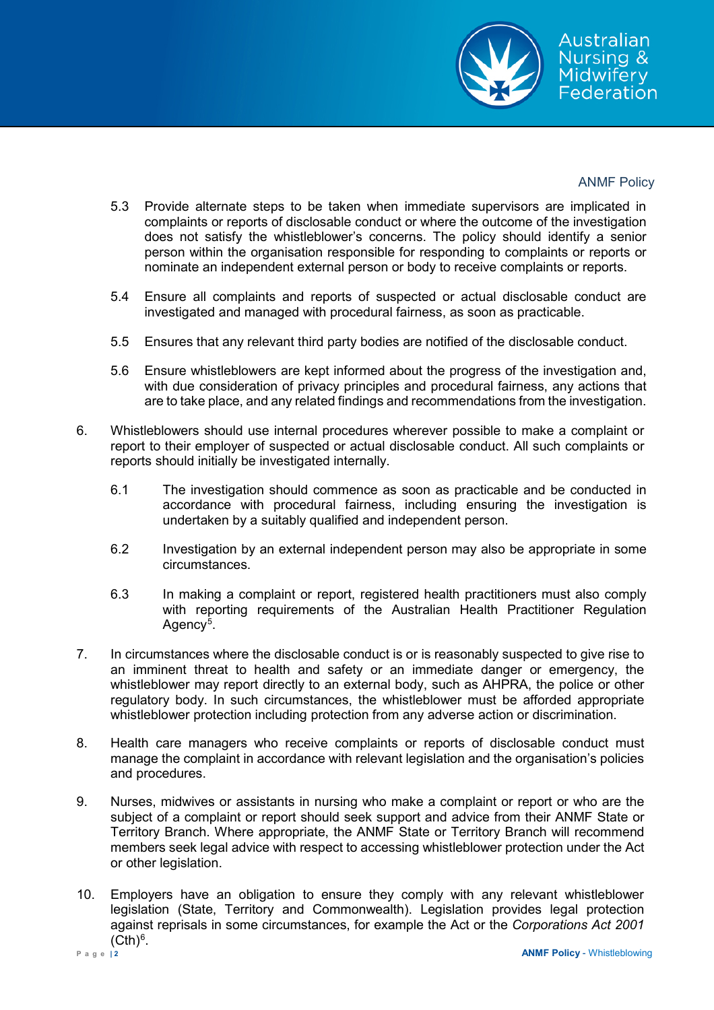

## ANMF Policy

- 5.3 Provide alternate steps to be taken when immediate supervisors are implicated in complaints or reports of disclosable conduct or where the outcome of the investigation does not satisfy the whistleblower's concerns. The policy should identify a senior person within the organisation responsible for responding to complaints or reports or nominate an independent external person or body to receive complaints or reports.
- 5.4 Ensure all complaints and reports of suspected or actual disclosable conduct are investigated and managed with procedural fairness, as soon as practicable.
- 5.5 Ensures that any relevant third party bodies are notified of the disclosable conduct.
- 5.6 Ensure whistleblowers are kept informed about the progress of the investigation and, with due consideration of privacy principles and procedural fairness, any actions that are to take place, and any related findings and recommendations from the investigation.
- 6. Whistleblowers should use internal procedures wherever possible to make a complaint or report to their employer of suspected or actual disclosable conduct. All such complaints or reports should initially be investigated internally.
	- 6.1 The investigation should commence as soon as practicable and be conducted in accordance with procedural fairness, including ensuring the investigation is undertaken by a suitably qualified and independent person.
	- 6.2 Investigation by an external independent person may also be appropriate in some circumstances.
	- 6.3 In making a complaint or report, registered health practitioners must also comply with reporting requirements of the Australian Health Practitioner Regulation Agency<sup>[5](#page-2-4)</sup>.
- 7. In circumstances where the disclosable conduct is or is reasonably suspected to give rise to an imminent threat to health and safety or an immediate danger or emergency, the whistleblower may report directly to an external body, such as AHPRA, the police or other regulatory body. In such circumstances, the whistleblower must be afforded appropriate whistleblower protection including protection from any adverse action or discrimination.
- 8. Health care managers who receive complaints or reports of disclosable conduct must manage the complaint in accordance with relevant legislation and the organisation's policies and procedures.
- 9. Nurses, midwives or assistants in nursing who make a complaint or report or who are the subject of a complaint or report should seek support and advice from their ANMF State or Territory Branch. Where appropriate, the ANMF State or Territory Branch will recommend members seek legal advice with respect to accessing whistleblower protection under the Act or other legislation.
- 10. Employers have an obligation to ensure they comply with any relevant whistleblower legislation (State, Territory and Commonwealth). Legislation provides legal protection against reprisals in some circumstances, for example the Act or the *Corporations Act 2001*  $(Cth)<sup>6</sup>$  $(Cth)<sup>6</sup>$  $(Cth)<sup>6</sup>$ .